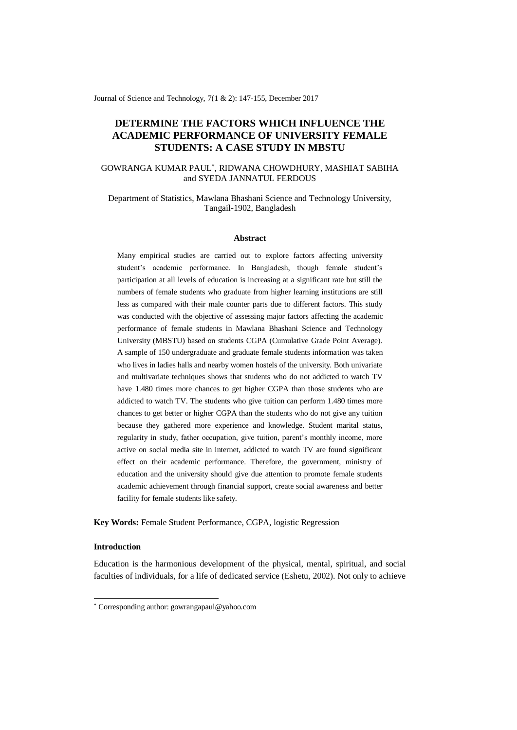Journal of Science and Technology, 7(1 & 2): 147-155, December 2017

# **DETERMINE THE FACTORS WHICH INFLUENCE THE ACADEMIC PERFORMANCE OF UNIVERSITY FEMALE STUDENTS: A CASE STUDY IN MBSTU**

## GOWRANGA KUMAR PAUL\* , RIDWANA CHOWDHURY, MASHIAT SABIHA and SYEDA JANNATUL FERDOUS

Department of Statistics, Mawlana Bhashani Science and Technology University, Tangail-1902, Bangladesh

#### **Abstract**

Many empirical studies are carried out to explore factors affecting university student's academic performance. In Bangladesh, though female student's participation at all levels of education is increasing at a significant rate but still the numbers of female students who graduate from higher learning institutions are still less as compared with their male counter parts due to different factors. This study was conducted with the objective of assessing major factors affecting the academic performance of female students in Mawlana Bhashani Science and Technology University (MBSTU) based on students CGPA (Cumulative Grade Point Average). A sample of 150 undergraduate and graduate female students information was taken who lives in ladies halls and nearby women hostels of the university. Both univariate and multivariate techniques shows that students who do not addicted to watch TV have 1.480 times more chances to get higher CGPA than those students who are addicted to watch TV. The students who give tuition can perform 1.480 times more chances to get better or higher CGPA than the students who do not give any tuition because they gathered more experience and knowledge. Student marital status, regularity in study, father occupation, give tuition, parent's monthly income, more active on social media site in internet, addicted to watch TV are found significant effect on their academic performance. Therefore, the government, ministry of education and the university should give due attention to promote female students academic achievement through financial support, create social awareness and better facility for female students like safety.

**Key Words:** Female Student Performance, CGPA, logistic Regression

### **Introduction**

-

Education is the harmonious development of the physical, mental, spiritual, and social faculties of individuals, for a life of dedicated service (Eshetu, 2002). Not only to achieve

<sup>\*</sup> Corresponding author: gowrangapaul@yahoo.com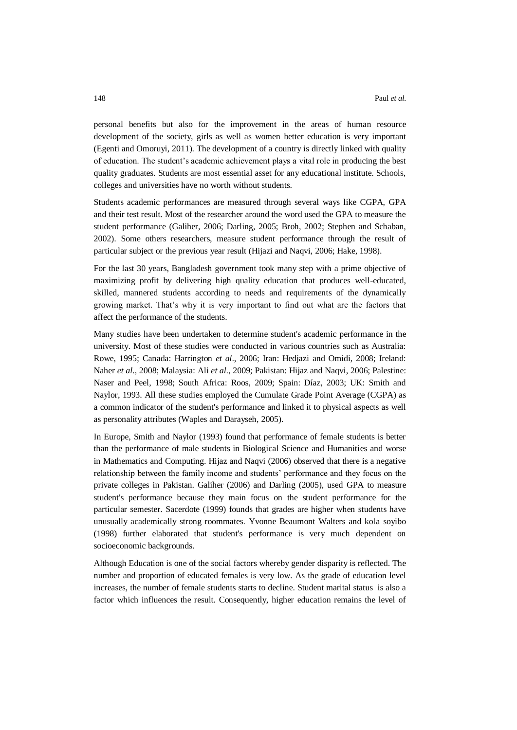personal benefits but also for the improvement in the areas of human resource development of the society, girls as well as women better education is very important (Egenti and Omoruyi, 2011). The development of a country is directly linked with quality of education. The student's academic achievement plays a vital role in producing the best quality graduates. Students are most essential asset for any educational institute. Schools, colleges and universities have no worth without students.

Students academic performances are measured through several ways like CGPA, GPA and their test result. Most of the researcher around the word used the GPA to measure the student performance (Galiher, 2006; Darling, 2005; Broh, 2002; Stephen and Schaban, 2002). Some others researchers, measure student performance through the result of particular subject or the previous year result (Hijazi and Naqvi, 2006; Hake, 1998).

For the last 30 years, Bangladesh government took many step with a prime objective of maximizing profit by delivering high quality education that produces well-educated, skilled, mannered students according to needs and requirements of the dynamically growing market. That's why it is very important to find out what are the factors that affect the performance of the students.

Many studies have been undertaken to determine student's academic performance in the university. Most of these studies were conducted in various countries such as Australia: Rowe, 1995; Canada: Harrington *et al*., 2006; Iran: Hedjazi and Omidi, 2008; Ireland: Naher *et al*., 2008; Malaysia: Ali *et al*., 2009; Pakistan: Hijaz and Naqvi, 2006; Palestine: Naser and Peel, 1998; South Africa: Roos, 2009; Spain: Díaz, 2003; UK: Smith and Naylor, 1993. All these studies employed the Cumulate Grade Point Average (CGPA) as a common indicator of the student's performance and linked it to physical aspects as well as personality attributes (Waples and Darayseh, 2005).

In Europe, Smith and Naylor (1993) found that performance of female students is better than the performance of male students in Biological Science and Humanities and worse in Mathematics and Computing. Hijaz and Naqvi (2006) observed that there is a negative relationship between the family income and students' performance and they focus on the private colleges in Pakistan. Galiher (2006) and Darling (2005), used GPA to measure student's performance because they main focus on the student performance for the particular semester. Sacerdote (1999) founds that grades are higher when students have unusually academically strong roommates. Yvonne Beaumont Walters and kola soyibo (1998) further elaborated that student's performance is very much dependent on socioeconomic backgrounds.

Although Education is one of the social factors whereby gender disparity is reflected. The number and proportion of educated females is very low. As the grade of education level increases, the number of female students starts to decline. Student marital status is also a factor which influences the result. Consequently, higher education remains the level of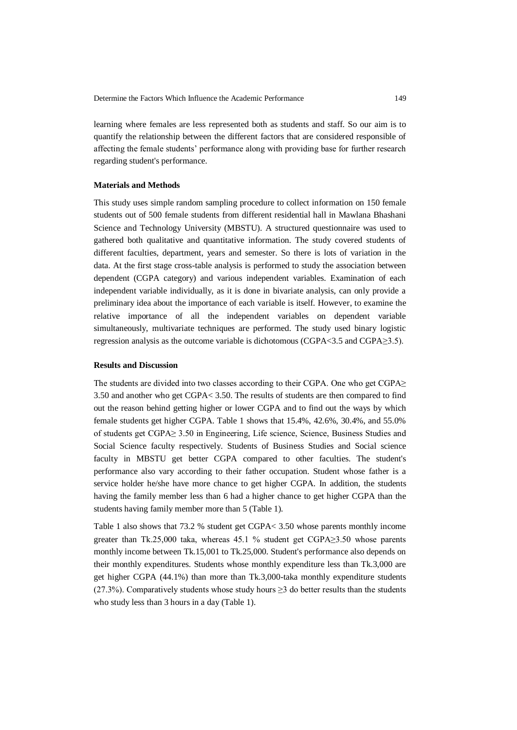learning where females are less represented both as students and staff. So our aim is to quantify the relationship between the different factors that are considered responsible of affecting the female students' performance along with providing base for further research regarding student's performance.

### **Materials and Methods**

This study uses simple random sampling procedure to collect information on 150 female students out of 500 female students from different residential hall in Mawlana Bhashani Science and Technology University (MBSTU). A structured questionnaire was used to gathered both qualitative and quantitative information. The study covered students of different faculties, department, years and semester. So there is lots of variation in the data. At the first stage cross-table analysis is performed to study the association between dependent (CGPA category) and various independent variables. Examination of each independent variable individually, as it is done in bivariate analysis, can only provide a preliminary idea about the importance of each variable is itself. However, to examine the relative importance of all the independent variables on dependent variable simultaneously, multivariate techniques are performed. The study used binary logistic regression analysis as the outcome variable is dichotomous (CGPA<3.5 and CGPA≥3.5).

### **Results and Discussion**

The students are divided into two classes according to their CGPA. One who get CGPA≥ 3.50 and another who get CGPA< 3.50. The results of students are then compared to find out the reason behind getting higher or lower CGPA and to find out the ways by which female students get higher CGPA. Table 1 shows that 15.4%, 42.6%, 30.4%, and 55.0% of students get CGPA≥ 3.50 in Engineering, Life science, Science, Business Studies and Social Science faculty respectively. Students of Business Studies and Social science faculty in MBSTU get better CGPA compared to other faculties. The student's performance also vary according to their father occupation. Student whose father is a service holder he/she have more chance to get higher CGPA. In addition, the students having the family member less than 6 had a higher chance to get higher CGPA than the students having family member more than 5 (Table 1).

Table 1 also shows that 73.2 % student get CGPA< 3.50 whose parents monthly income greater than Tk.25,000 taka, whereas 45.1 % student get  $CGPA \geq 3.50$  whose parents monthly income between Tk.15,001 to Tk.25,000. Student's performance also depends on their monthly expenditures. Students whose monthly expenditure less than Tk.3,000 are get higher CGPA (44.1%) than more than Tk.3,000-taka monthly expenditure students  $(27.3\%)$ . Comparatively students whose study hours  $\geq 3$  do better results than the students who study less than 3 hours in a day (Table 1).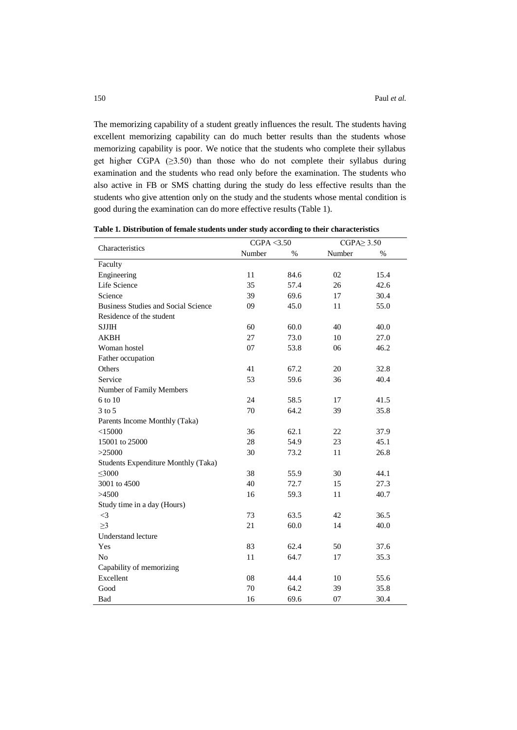The memorizing capability of a student greatly influences the result. The students having excellent memorizing capability can do much better results than the students whose memorizing capability is poor. We notice that the students who complete their syllabus get higher CGPA (≥3.50) than those who do not complete their syllabus during examination and the students who read only before the examination. The students who also active in FB or SMS chatting during the study do less effective results than the students who give attention only on the study and the students whose mental condition is good during the examination can do more effective results (Table 1).

|                                            | CGPA $<$ 3.50 |            |                  |      |  |  |
|--------------------------------------------|---------------|------------|------------------|------|--|--|
| Characteristics                            |               |            | CGPA $\geq$ 3.50 |      |  |  |
|                                            | Number        | $\%$       | Number           | $\%$ |  |  |
| Faculty                                    |               |            |                  |      |  |  |
| Engineering                                | 11<br>84.6    |            | 02               | 15.4 |  |  |
| Life Science                               | 35            | 57.4       | 26               | 42.6 |  |  |
| Science                                    | 39            | 69.6       | 17               | 30.4 |  |  |
| <b>Business Studies and Social Science</b> | 09            | 45.0       | 11               | 55.0 |  |  |
| Residence of the student                   |               |            |                  |      |  |  |
| <b>SJJIH</b>                               | 60            | 60.0<br>40 |                  | 40.0 |  |  |
| <b>AKBH</b>                                | 27            | 73.0       | 10               | 27.0 |  |  |
| Woman hostel                               | 07            | 53.8       | 06               | 46.2 |  |  |
| Father occupation                          |               |            |                  |      |  |  |
| Others                                     | 41            | 67.2       | 20               | 32.8 |  |  |
| Service                                    | 53            | 59.6       | 36               | 40.4 |  |  |
| Number of Family Members                   |               |            |                  |      |  |  |
| 6 to 10                                    | 24            | 58.5       | 17               | 41.5 |  |  |
| $3$ to $5$                                 | 70            | 64.2       | 39               | 35.8 |  |  |
| Parents Income Monthly (Taka)              |               |            |                  |      |  |  |
| < 15000                                    | 36            | 62.1       | 22               | 37.9 |  |  |
| 15001 to 25000                             | 28            | 54.9       | 23               | 45.1 |  |  |
| >25000                                     | 30            | 73.2       | 11               | 26.8 |  |  |
| Students Expenditure Monthly (Taka)        |               |            |                  |      |  |  |
| $\leq 3000$                                | 38            | 55.9       | 30               | 44.1 |  |  |
| 3001 to 4500                               | 40            | 72.7       | 15               | 27.3 |  |  |
| >4500                                      | 16            | 59.3       | 11               | 40.7 |  |  |
| Study time in a day (Hours)                |               |            |                  |      |  |  |
| $\leq$ 3                                   | 73            | 63.5       | 42               | 36.5 |  |  |
| $\geq$ 3                                   | 21            | 60.0       | 14               | 40.0 |  |  |
| <b>Understand lecture</b>                  |               |            |                  |      |  |  |
| Yes                                        | 83            | 62.4       | 50               | 37.6 |  |  |
| N <sub>o</sub>                             | 11            | 64.7       | 17               | 35.3 |  |  |
| Capability of memorizing                   |               |            |                  |      |  |  |
| Excellent                                  | 08            | 44.4       | 10               | 55.6 |  |  |
| Good                                       | 70            | 64.2       | 39               | 35.8 |  |  |
| Bad                                        | 16            | 69.6       | 07               | 30.4 |  |  |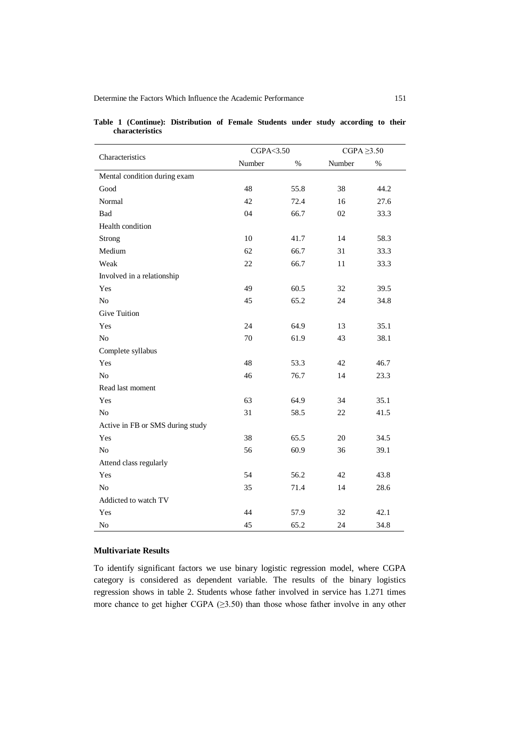|                                  | CGPA<3.50 |      | $CGPA \geq 3.50$ |      |  |
|----------------------------------|-----------|------|------------------|------|--|
| Characteristics                  | Number    | $\%$ | Number           | $\%$ |  |
| Mental condition during exam     |           |      |                  |      |  |
| Good                             | 48        | 55.8 | 38               | 44.2 |  |
| Normal                           | 42        | 72.4 | 16               | 27.6 |  |
| Bad                              | 04        | 66.7 | 02               | 33.3 |  |
| Health condition                 |           |      |                  |      |  |
| Strong                           | 10        | 41.7 | 14               | 58.3 |  |
| Medium                           | 62        | 66.7 | 31               | 33.3 |  |
| Weak                             | 22        | 66.7 | 11               | 33.3 |  |
| Involved in a relationship       |           |      |                  |      |  |
| Yes                              | 49        | 60.5 | 32               | 39.5 |  |
| N <sub>o</sub>                   | 45        | 65.2 | 24               | 34.8 |  |
| <b>Give Tuition</b>              |           |      |                  |      |  |
| Yes                              | 24        | 64.9 | 13               | 35.1 |  |
| No                               | 70        | 61.9 | 43               | 38.1 |  |
| Complete syllabus                |           |      |                  |      |  |
| Yes                              | 48        | 53.3 | 42               | 46.7 |  |
| N <sub>o</sub>                   | 46        | 76.7 | 14               | 23.3 |  |
| Read last moment                 |           |      |                  |      |  |
| Yes                              | 63        | 64.9 | 34               | 35.1 |  |
| No                               | 31        | 58.5 | 22               | 41.5 |  |
| Active in FB or SMS during study |           |      |                  |      |  |
| Yes                              | 38        | 65.5 | 20               | 34.5 |  |
| No                               | 56        | 60.9 | 36               | 39.1 |  |
| Attend class regularly           |           |      |                  |      |  |
| Yes                              | 54        | 56.2 | 42               | 43.8 |  |
| N <sub>o</sub>                   | 35        | 71.4 | 14               | 28.6 |  |
| Addicted to watch TV             |           |      |                  |      |  |
| Yes                              | 44        | 57.9 | 32               | 42.1 |  |
| N <sub>o</sub>                   | 45        | 65.2 | 24               | 34.8 |  |

|  |                 | Table 1 (Continue): Distribution of Female Students under study according to their |  |  |  |  |
|--|-----------------|------------------------------------------------------------------------------------|--|--|--|--|
|  | characteristics |                                                                                    |  |  |  |  |

# **Multivariate Results**

To identify significant factors we use binary logistic regression model, where CGPA category is considered as dependent variable. The results of the binary logistics regression shows in table 2. Students whose father involved in service has 1.271 times more chance to get higher CGPA (≥3.50) than those whose father involve in any other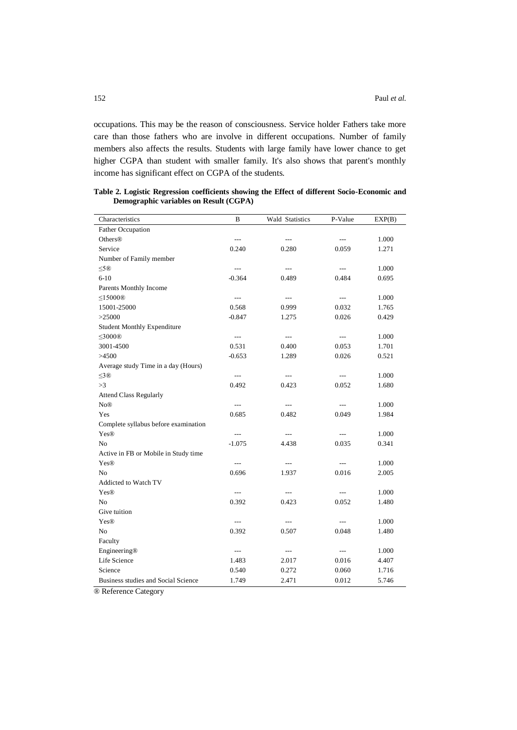occupations. This may be the reason of consciousness. Service holder Fathers take more care than those fathers who are involve in different occupations. Number of family members also affects the results. Students with large family have lower chance to get higher CGPA than student with smaller family. It's also shows that parent's monthly income has significant effect on CGPA of the students.

| Characteristics                      | B                        | Wald Statistics          | P-Value                  | EXP(B) |
|--------------------------------------|--------------------------|--------------------------|--------------------------|--------|
| <b>Father Occupation</b>             |                          |                          |                          |        |
| <b>Others®</b>                       | $\overline{\phantom{a}}$ | $---$                    | ---                      | 1.000  |
| Service                              | 0.240                    | 0.280                    | 0.059                    | 1.271  |
| Number of Family member              |                          |                          |                          |        |
| ≤5®                                  | $\overline{a}$           | $\overline{a}$           | $\overline{a}$           | 1.000  |
| $6-10$                               | $-0.364$                 | 0.489                    | 0.484                    | 0.695  |
| Parents Monthly Income               |                          |                          |                          |        |
| $\leq$ 15000®                        | $\overline{\phantom{a}}$ | $\overline{\phantom{a}}$ | $\overline{\phantom{a}}$ | 1.000  |
| 15001-25000                          | 0.568                    | 0.999                    | 0.032                    | 1.765  |
| >25000                               | $-0.847$                 | 1.275                    | 0.026                    | 0.429  |
| <b>Student Monthly Expenditure</b>   |                          |                          |                          |        |
| ≤3000®                               | $\overline{\phantom{a}}$ | $\overline{a}$           | $\overline{\phantom{a}}$ | 1.000  |
| 3001-4500                            | 0.531                    | 0.400                    | 0.053                    | 1.701  |
| >4500                                | $-0.653$                 | 1.289                    | 0.026                    | 0.521  |
| Average study Time in a day (Hours)  |                          |                          |                          |        |
| $\leq3$ ®                            | $\sim$ $\sim$            | $---$                    | $\overline{a}$           | 1.000  |
| >3                                   | 0.492                    | 0.423                    | 0.052                    | 1.680  |
| <b>Attend Class Regularly</b>        |                          |                          |                          |        |
| N <sub>0</sub> ®                     | $\cdots$                 | $---$                    | $\cdots$                 | 1.000  |
| Yes                                  | 0.685                    | 0.482                    | 0.049                    | 1.984  |
| Complete syllabus before examination |                          |                          |                          |        |
| Yes®                                 | ---                      | $---$                    | $\qquad \qquad - -$      | 1.000  |
| No                                   | $-1.075$                 | 4.438                    | 0.035                    | 0.341  |
| Active in FB or Mobile in Study time |                          |                          |                          |        |
| Yes®                                 | ---                      | $\overline{a}$           | $---$                    | 1.000  |
| No                                   | 0.696                    | 1.937                    | 0.016                    | 2.005  |
| Addicted to Watch TV                 |                          |                          |                          |        |
| Yes®                                 | $\scriptstyle\cdots$     | $---$                    | $\cdots$                 | 1.000  |
| N <sub>0</sub>                       | 0.392                    | 0.423                    | 0.052                    | 1.480  |
| Give tuition                         |                          |                          |                          |        |
| Yes®                                 | $\cdots$                 | $---$                    | $\qquad \qquad - -$      | 1.000  |
| N <sub>0</sub>                       | 0.392                    | 0.507                    | 0.048                    | 1.480  |
| Faculty                              |                          |                          |                          |        |
| Engineering®                         | $---$                    | $---$                    | $\cdots$                 | 1.000  |
| Life Science                         | 1.483                    | 2.017                    | 0.016                    | 4.407  |
| Science                              | 0.540                    | 0.272                    | 0.060                    | 1.716  |
| Business studies and Social Science  | 1.749                    | 2.471                    | 0.012                    | 5.746  |

**Table 2. Logistic Regression coefficients showing the Effect of different Socio-Economic and Demographic variables on Result (CGPA)**

® Reference Category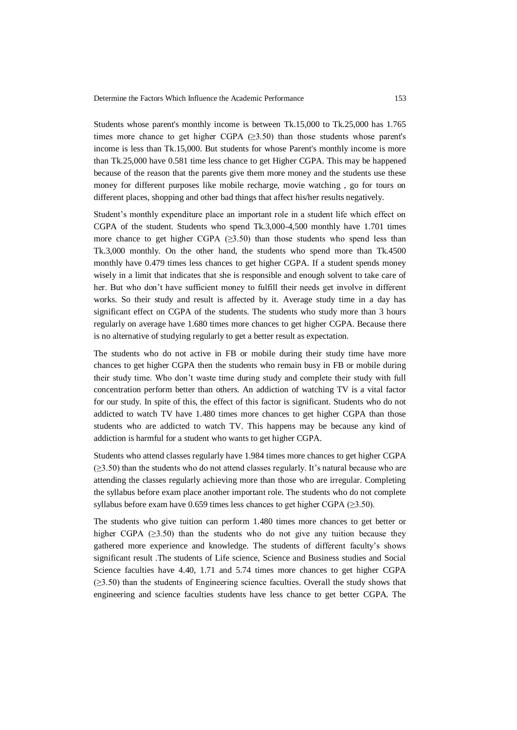Students whose parent's monthly income is between Tk.15,000 to Tk.25,000 has 1.765 times more chance to get higher CGPA  $(\geq 3.50)$  than those students whose parent's income is less than Tk.15,000. But students for whose Parent's monthly income is more than Tk.25,000 have 0.581 time less chance to get Higher CGPA. This may be happened because of the reason that the parents give them more money and the students use these money for different purposes like mobile recharge, movie watching , go for tours on different places, shopping and other bad things that affect his/her results negatively.

Student's monthly expenditure place an important role in a student life which effect on CGPA of the student. Students who spend Tk.3,000-4,500 monthly have 1.701 times more chance to get higher CGPA  $(\geq 3.50)$  than those students who spend less than Tk.3,000 monthly. On the other hand, the students who spend more than Tk.4500 monthly have 0.479 times less chances to get higher CGPA. If a student spends money wisely in a limit that indicates that she is responsible and enough solvent to take care of her. But who don't have sufficient money to fulfill their needs get involve in different works. So their study and result is affected by it. Average study time in a day has significant effect on CGPA of the students. The students who study more than 3 hours regularly on average have 1.680 times more chances to get higher CGPA. Because there is no alternative of studying regularly to get a better result as expectation.

The students who do not active in FB or mobile during their study time have more chances to get higher CGPA then the students who remain busy in FB or mobile during their study time. Who don't waste time during study and complete their study with full concentration perform better than others. An addiction of watching TV is a vital factor for our study. In spite of this, the effect of this factor is significant. Students who do not addicted to watch TV have 1.480 times more chances to get higher CGPA than those students who are addicted to watch TV. This happens may be because any kind of addiction is harmful for a student who wants to get higher CGPA.

Students who attend classes regularly have 1.984 times more chances to get higher CGPA (≥3.50) than the students who do not attend classes regularly. It's natural because who are attending the classes regularly achieving more than those who are irregular. Completing the syllabus before exam place another important role. The students who do not complete syllabus before exam have 0.659 times less chances to get higher CGPA ( $\geq$ 3.50).

The students who give tuition can perform 1.480 times more chances to get better or higher CGPA  $(\geq 3.50)$  than the students who do not give any tuition because they gathered more experience and knowledge. The students of different faculty's shows significant result .The students of Life science, Science and Business studies and Social Science faculties have 4.40, 1.71 and 5.74 times more chances to get higher CGPA (≥3.50) than the students of Engineering science faculties. Overall the study shows that engineering and science faculties students have less chance to get better CGPA. The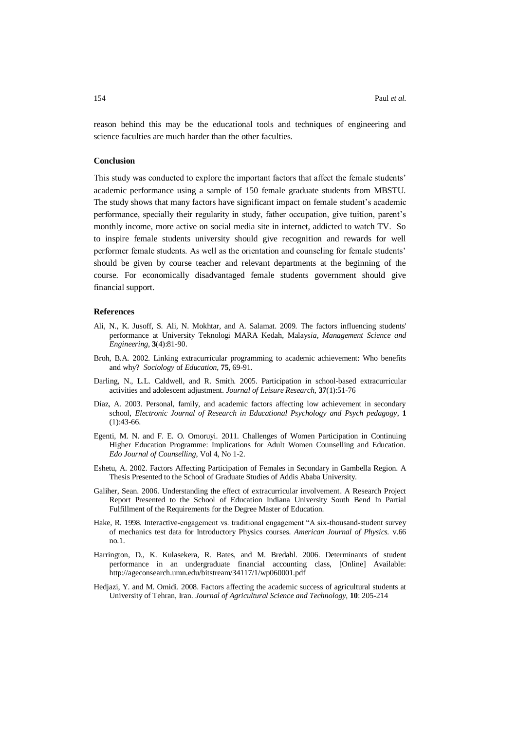reason behind this may be the educational tools and techniques of engineering and science faculties are much harder than the other faculties.

### **Conclusion**

This study was conducted to explore the important factors that affect the female students' academic performance using a sample of 150 female graduate students from MBSTU. The study shows that many factors have significant impact on female student's academic performance, specially their regularity in study, father occupation, give tuition, parent's monthly income, more active on social media site in internet, addicted to watch TV. So to inspire female students university should give recognition and rewards for well performer female students. As well as the orientation and counseling for female students' should be given by course teacher and relevant departments at the beginning of the course. For economically disadvantaged female students government should give financial support.

#### **References**

- Ali*,* N., K. Jusoff*,* S. Ali*,* N. Mokhtar, and A. Salamat. 2009*.* The factors influencing students' performance at University Teknologi MARA Kedah, Malays*ia, Management Science and Engineering,* **3**(4):81-90.
- Broh, B.A. 2002. Linking extracurricular programming to academic achievement: Who benefits and why? *Sociology* of *Education*, **75**, 69-91.
- Darling, N., L.L. Caldwell, and R. Smith. 2005. Participation in school-based extracurricular activities and adolescent adjustment. *Journal of Leisure Research,* **37**(1):51-76
- Díaz, A. 2003. Personal, family, and academic factors affecting low achievement in secondary school, *Electronic Journal of Research in Educational Psychology and Psych pedagogy*, **1** (1):43-66.
- Egenti, M. N. and F. E. O. Omoruyi. 2011. Challenges of Women Participation in Continuing Higher Education Programme: Implications for Adult Women Counselling and Education. *Edo Journal of Counselling*, Vol 4, No 1-2.
- Eshetu, A. 2002. Factors Affecting Participation of Females in Secondary in Gambella Region. A Thesis Presented to the School of Graduate Studies of Addis Ababa University.
- Galiher, Sean. 2006. Understanding the effect of extracurricular involvement. A Research Project Report Presented to the School of Education Indiana University South Bend In Partial Fulfillment of the Requirements for the Degree Master of Education.
- Hake, R. 1998. Interactive-engagement vs. traditional engagement "A six-thousand-student survey of mechanics test data for Introductory Physics courses. *American Journal of Physics.* v.66 no.1.
- Harrington, D., K. Kulasekera, R. Bates, and M. Bredahl. 2006. Determinants of student performance in an undergraduate financial accounting class, [Online] Available: <http://ageconsearch.umn.edu/bitstream/34117/1/wp060001.pdf>
- Hedjazi, Y. and M. Omidi. 2008. Factors affecting the academic success of agricultural students at University of Tehran, Iran. *Journal of Agricultural Science and Technology,* **10**: 205-214